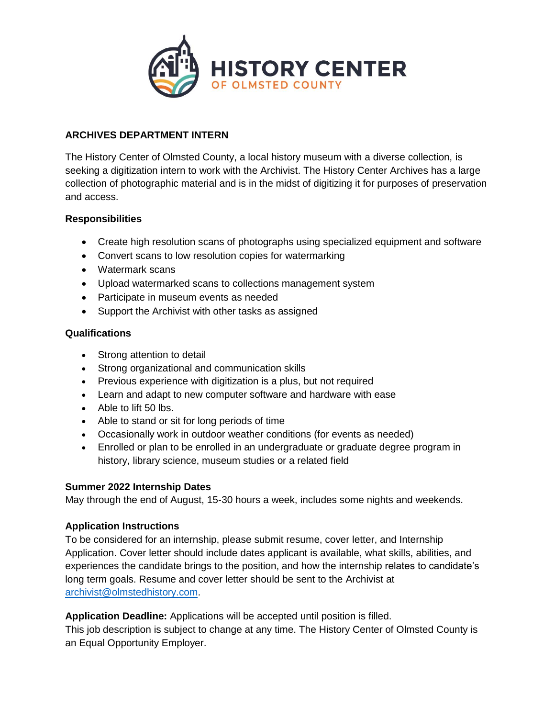

## **ARCHIVES DEPARTMENT INTERN**

The History Center of Olmsted County, a local history museum with a diverse collection, is seeking a digitization intern to work with the Archivist. The History Center Archives has a large collection of photographic material and is in the midst of digitizing it for purposes of preservation and access.

#### **Responsibilities**

- Create high resolution scans of photographs using specialized equipment and software
- Convert scans to low resolution copies for watermarking
- Watermark scans
- Upload watermarked scans to collections management system
- Participate in museum events as needed
- Support the Archivist with other tasks as assigned

### **Qualifications**

- Strong attention to detail
- Strong organizational and communication skills
- Previous experience with digitization is a plus, but not required
- Learn and adapt to new computer software and hardware with ease
- Able to lift 50 lbs.
- Able to stand or sit for long periods of time
- Occasionally work in outdoor weather conditions (for events as needed)
- Enrolled or plan to be enrolled in an undergraduate or graduate degree program in history, library science, museum studies or a related field

#### **Summer 2022 Internship Dates**

May through the end of August, 15-30 hours a week, includes some nights and weekends.

#### **Application Instructions**

To be considered for an internship, please submit resume, cover letter, and Internship Application. Cover letter should include dates applicant is available, what skills, abilities, and experiences the candidate brings to the position, and how the internship relates to candidate's long term goals. Resume and cover letter should be sent to the Archivist at [archivist@olmstedhistory.com.](mailto:archivist@olmstedhistory.com)

**Application Deadline:** Applications will be accepted until position is filled. This job description is subject to change at any time. The History Center of Olmsted County is an Equal Opportunity Employer.